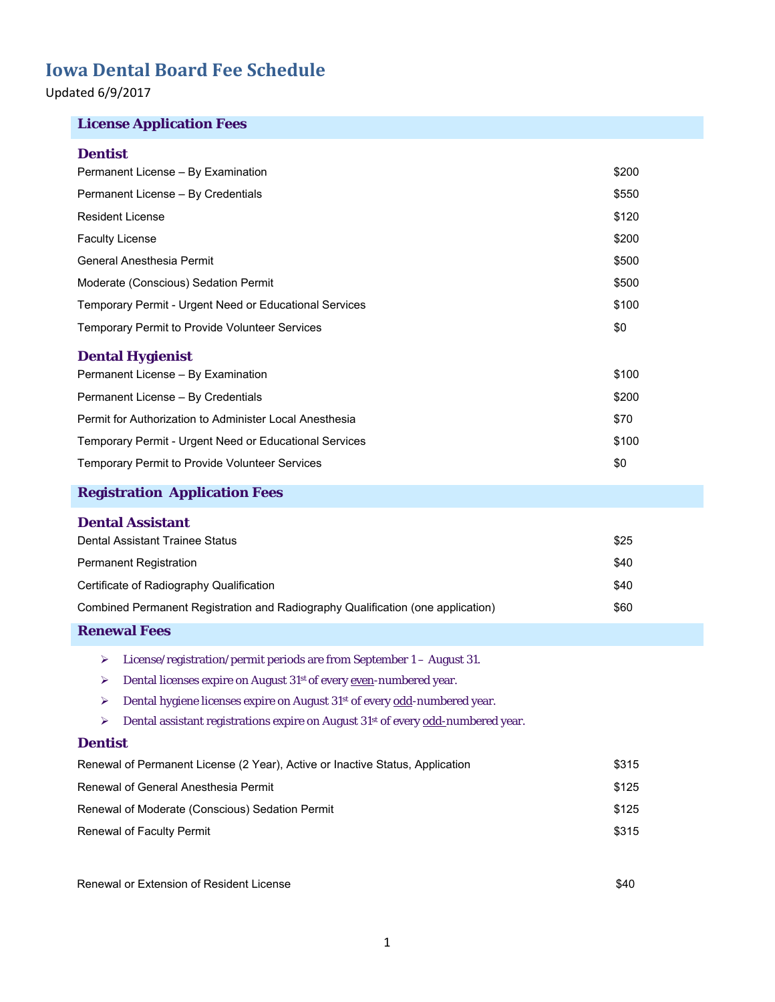Updated 6/9/2017

## **License Application Fees**

### **Dentist**

| Permanent License - By Examination                                                                | \$200 |
|---------------------------------------------------------------------------------------------------|-------|
| Permanent License - By Credentials                                                                | \$550 |
| <b>Resident License</b>                                                                           | \$120 |
| <b>Faculty License</b>                                                                            | \$200 |
| General Anesthesia Permit                                                                         | \$500 |
| Moderate (Conscious) Sedation Permit                                                              | \$500 |
| Temporary Permit - Urgent Need or Educational Services                                            | \$100 |
| Temporary Permit to Provide Volunteer Services                                                    | \$0   |
| <b>Dental Hygienist</b>                                                                           |       |
| Permanent License - By Examination                                                                | \$100 |
| Permanent License - By Credentials                                                                | \$200 |
| Permit for Authorization to Administer Local Anesthesia                                           | \$70  |
| Temporary Permit - Urgent Need or Educational Services                                            | \$100 |
| Temporary Permit to Provide Volunteer Services                                                    | \$0   |
|                                                                                                   |       |
| <b>Registration Application Fees</b>                                                              |       |
| <b>Dental Assistant</b>                                                                           |       |
| Dental Assistant Trainee Status                                                                   | \$25  |
| Permanent Registration                                                                            | \$40  |
| Certificate of Radiography Qualification                                                          | \$40  |
| Combined Permanent Registration and Radiography Qualification (one application)                   | \$60  |
| <b>Renewal Fees</b>                                                                               |       |
| License/registration/permit periods are from September 1 - August 31.<br>⋗                        |       |
| Dental licenses expire on August 31 <sup>st</sup> of every even-numbered year.<br>➤               |       |
| Dental hygiene licenses expire on August 31 <sup>st</sup> of every odd-numbered year.<br>➤        |       |
| Dental assistant registrations expire on August 31 <sup>st</sup> of every odd-numbered year.<br>➤ |       |
| <b>Dentist</b>                                                                                    |       |
| Renewal of Permanent License (2 Year), Active or Inactive Status, Application                     | \$315 |

Renewal of Moderate (Conscious) Sedation Permit **\$125** \$125 Renewal of Faculty Permit  $$315$ 

Renewal or Extension of Resident License  $$40$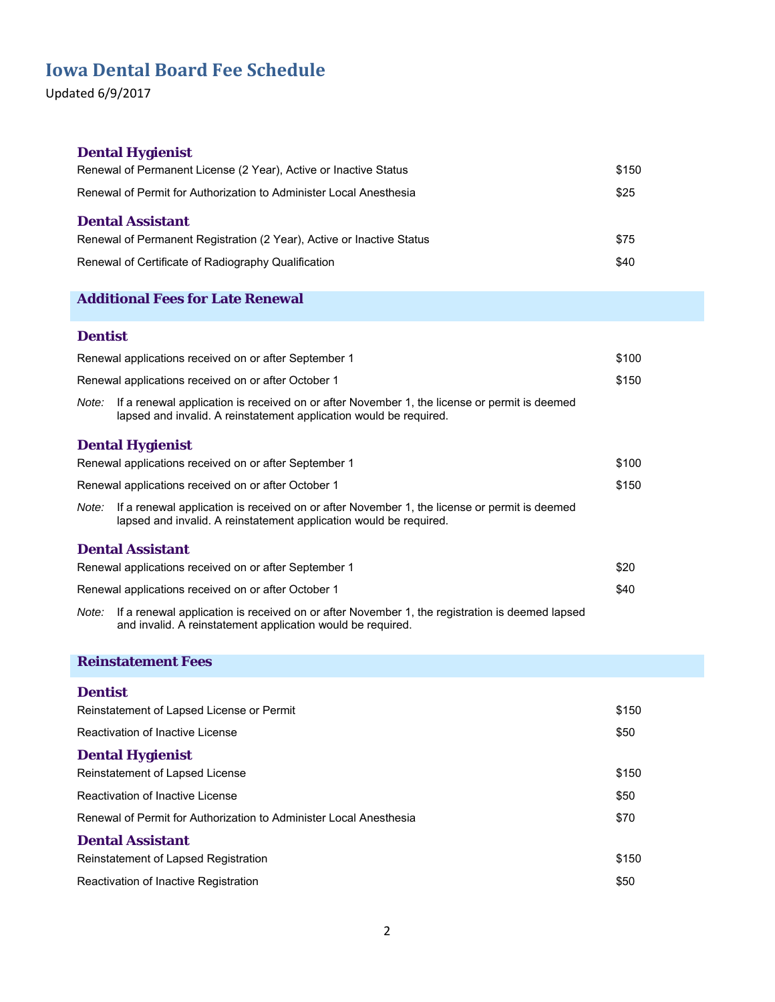Updated 6/9/2017

# **Dental Hygienist**  Renewal of Permanent License (2 Year), Active or Inactive Status **\$150** \$150 Renewal of Permit for Authorization to Administer Local Anesthesia  $$25$ **Dental Assistant** Renewal of Permanent Registration (2 Year), Active or Inactive Status \$75 Renewal of Certificate of Radiography Qualification **\$40**  $$40$ **Additional Fees for Late Renewal Dentist** Renewal applications received on or after September 1  $$100$ Renewal applications received on or after October 1  $$150$ *Note:* If a renewal application is received on or after November 1, the license or permit is deemed lapsed and invalid. A reinstatement application would be required. **Dental Hygienist** Renewal applications received on or after September 1  $$100$ Renewal applications received on or after October 1  $$150$ *Note:* If a renewal application is received on or after November 1, the license or permit is deemed lapsed and invalid. A reinstatement application would be required. **Dental Assistant** Renewal applications received on or after September 1  $$20$ Renewal applications received on or after October 1  $$40$ *Note:* If a renewal application is received on or after November 1, the registration is deemed lapsed

and invalid. A reinstatement application would be required.

### **Reinstatement Fees**

#### **Dentist**

| Reinstatement of Lapsed License or Permit                          | \$150 |
|--------------------------------------------------------------------|-------|
| Reactivation of Inactive License                                   | \$50  |
| <b>Dental Hygienist</b>                                            |       |
| Reinstatement of Lapsed License                                    | \$150 |
| Reactivation of Inactive License                                   | \$50  |
| Renewal of Permit for Authorization to Administer Local Anesthesia | \$70  |
| <b>Dental Assistant</b>                                            |       |
| Reinstatement of Lapsed Registration                               | \$150 |
| Reactivation of Inactive Registration                              | \$50  |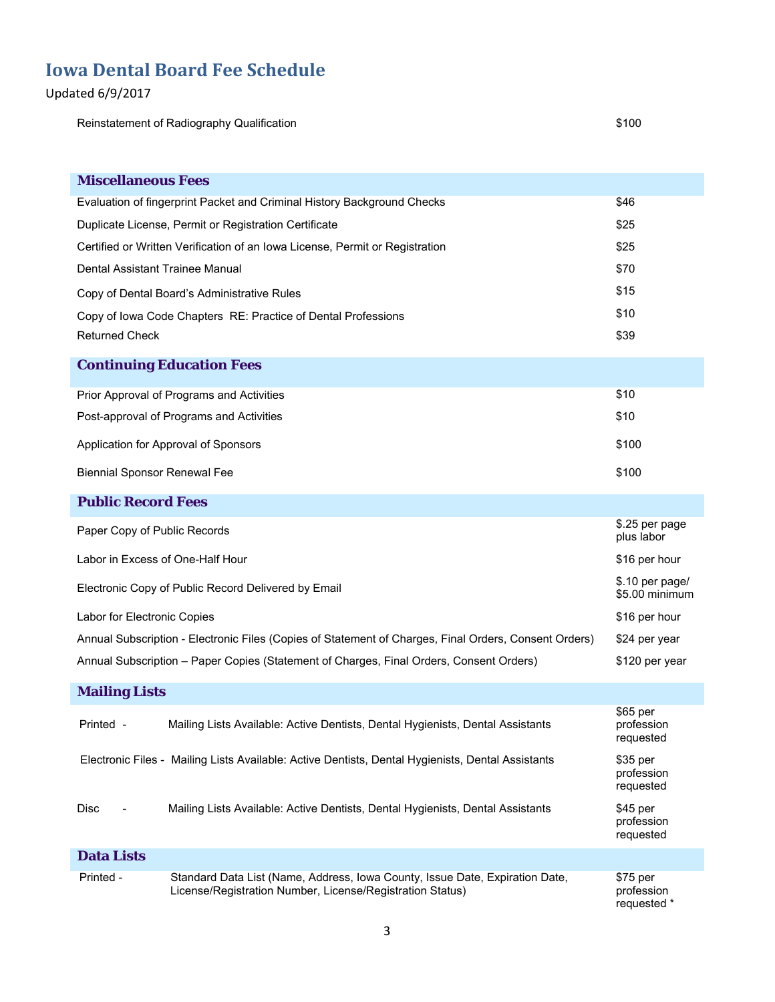## Updated 6/9/2017

Reinstatement of Radiography Qualification **\$100** Structure and the structure of the structure of the structure of

| <b>Miscellaneous Fees</b>           |                                                                                                                                           |                                       |
|-------------------------------------|-------------------------------------------------------------------------------------------------------------------------------------------|---------------------------------------|
|                                     | Evaluation of fingerprint Packet and Criminal History Background Checks                                                                   | \$46                                  |
|                                     | Duplicate License, Permit or Registration Certificate                                                                                     | \$25                                  |
|                                     | Certified or Written Verification of an Iowa License, Permit or Registration                                                              | \$25                                  |
| Dental Assistant Trainee Manual     |                                                                                                                                           | \$70                                  |
|                                     | Copy of Dental Board's Administrative Rules                                                                                               | \$15                                  |
|                                     | Copy of Iowa Code Chapters RE: Practice of Dental Professions                                                                             | \$10                                  |
| <b>Returned Check</b>               |                                                                                                                                           | \$39                                  |
|                                     | <b>Continuing Education Fees</b>                                                                                                          |                                       |
|                                     | Prior Approval of Programs and Activities                                                                                                 | \$10                                  |
|                                     | Post-approval of Programs and Activities                                                                                                  | \$10                                  |
|                                     | Application for Approval of Sponsors                                                                                                      | \$100                                 |
| <b>Biennial Sponsor Renewal Fee</b> |                                                                                                                                           | \$100                                 |
|                                     |                                                                                                                                           |                                       |
| <b>Public Record Fees</b>           |                                                                                                                                           |                                       |
| Paper Copy of Public Records        |                                                                                                                                           | \$.25 per page<br>plus labor          |
| Labor in Excess of One-Half Hour    |                                                                                                                                           | \$16 per hour                         |
|                                     | Electronic Copy of Public Record Delivered by Email                                                                                       | \$.10 per page/<br>\$5.00 minimum     |
| Labor for Electronic Copies         |                                                                                                                                           | \$16 per hour                         |
|                                     | Annual Subscription - Electronic Files (Copies of Statement of Charges, Final Orders, Consent Orders)                                     | \$24 per year                         |
|                                     | Annual Subscription - Paper Copies (Statement of Charges, Final Orders, Consent Orders)                                                   | \$120 per year                        |
| <b>Mailing Lists</b>                |                                                                                                                                           |                                       |
| Printed -                           | Mailing Lists Available: Active Dentists, Dental Hygienists, Dental Assistants                                                            | \$65 per<br>profession<br>requested   |
|                                     | Electronic Files - Mailing Lists Available: Active Dentists, Dental Hygienists, Dental Assistants                                         | \$35 per<br>profession<br>requested   |
| Disc                                | Mailing Lists Available: Active Dentists, Dental Hygienists, Dental Assistants                                                            | \$45 per<br>profession<br>requested   |
| <b>Data Lists</b>                   |                                                                                                                                           |                                       |
| Printed -                           | Standard Data List (Name, Address, Iowa County, Issue Date, Expiration Date,<br>License/Registration Number, License/Registration Status) | \$75 per<br>profession<br>requested * |